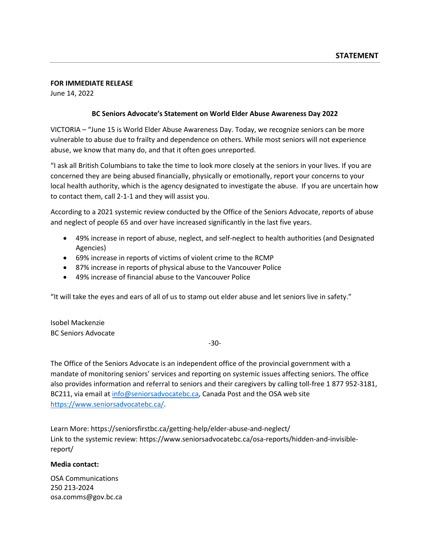#### **FOR IMMEDIATE RELEASE**

June 14, 2022

### **BC Seniors Advocate's Statement on World Elder Abuse Awareness Day 2022**

VICTORIA – "June 15 is World Elder Abuse Awareness Day. Today, we recognize seniors can be more vulnerable to abuse due to frailty and dependence on others. While most seniors will not experience abuse, we know that many do, and that it often goes unreported.

"I ask all British Columbians to take the time to look more closely at the seniors in your lives. If you are concerned they are being abused financially, physically or emotionally, report your concerns to your local health authority, which is the agency designated to investigate the abuse. If you are uncertain how to contact them, call 2-1-1 and they will assist you.

According to a 2021 systemic review conducted by the Office of the Seniors Advocate, reports of abuse and neglect of people 65 and over have increased significantly in the last five years.

- 49% increase in report of abuse, neglect, and self-neglect to health authorities (and Designated Agencies)
- 69% increase in reports of victims of violent crime to the RCMP
- 87% increase in reports of physical abuse to the Vancouver Police
- 49% increase of financial abuse to the Vancouver Police

"It will take the eyes and ears of all of us to stamp out elder abuse and let seniors live in safety."

Isobel Mackenzie BC Seniors Advocate

-30-

The Office of the Seniors Advocate is an independent office of the provincial government with a mandate of monitoring seniors' services and reporting on systemic issues affecting seniors. The office also provides information and referral to seniors and their caregivers by calling toll-free 1 877 952-3181, BC211, via email a[t info@seniorsadvocatebc.ca,](mailto:info@seniorsadvocatebc.ca) Canada Post and the OSA web site [https://www.seniorsadvocatebc.ca/.](https://www.seniorsadvocatebc.ca/)

Learn More: https://seniorsfirstbc.ca/getting-help/elder-abuse-and-neglect/ Link to the systemic review: https://www.seniorsadvocatebc.ca/osa-reports/hidden-and-invisiblereport/

#### **Media contact:**

OSA Communications 250 213-2024 [osa.comms@gov.bc.](mailto:osa.comms@gov.bc)ca